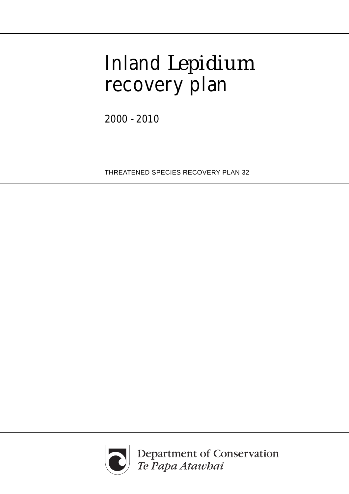# Inland *Lepidium* recovery plan

2000 - 2010

THREATENED SPECIES RECOVERY PLAN 32



Department of Conservation<br>Te Papa Atawbai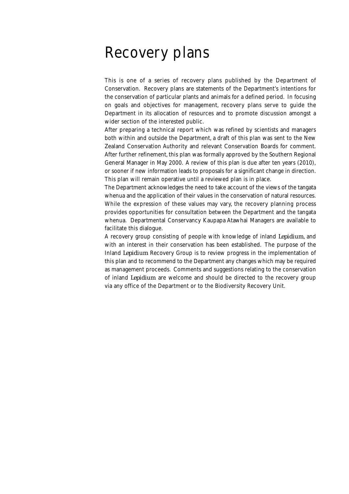### Recovery plans

This is one of a series of recovery plans published by the Department of Conservation. Recovery plans are statements of the Department's intentions for the conservation of particular plants and animals for a defined period. In focusing on goals and objectives for management, recovery plans serve to guide the Department in its allocation of resources and to promote discussion amongst a wider section of the interested public.

After preparing a technical report which was refined by scientists and managers both within and outside the Department, a draft of this plan was sent to the New Zealand Conservation Authority and relevant Conservation Boards for comment. After further refinement, this plan was formally approved by the Southern Regional General Manager in May 2000. A review of this plan is due after ten years (2010), or sooner if new information leads to proposals for a significant change in direction. This plan will remain operative until a reviewed plan is in place.

The Department acknowledges the need to take account of the views of the tangata whenua and the application of their values in the conservation of natural resources. While the expression of these values may vary, the recovery planning process provides opportunities for consultation between the Department and the tangata whenua. Departmental Conservancy Kaupapa Atawhai Managers are available to facilitate this dialogue.

A recovery group consisting of people with knowledge of inland *Lepidium*, and with an interest in their conservation has been established. The purpose of the Inland *Lepidium* Recovery Group is to review progress in the implementation of this plan and to recommend to the Department any changes which may be required as management proceeds. Comments and suggestions relating to the conservation of inland *Lepidium* are welcome and should be directed to the recovery group via any office of the Department or to the Biodiversity Recovery Unit.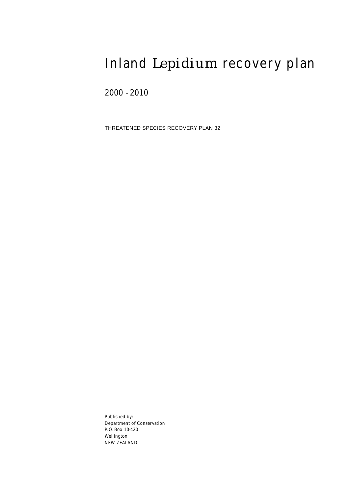### Inland *Lepidium* recovery plan

2000 - 2010

THREATENED SPECIES RECOVERY PLAN 32

Published by: Department of Conservation P. O. Box 10-420 Wellington NEW ZEALAND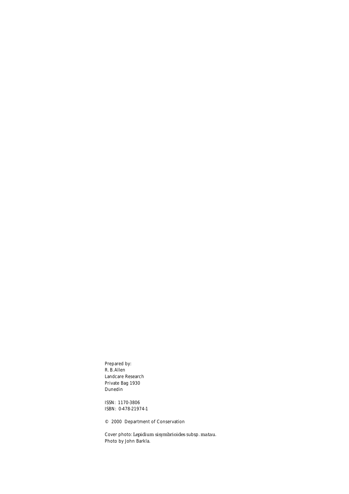Prepared by: R. B. Allen Landcare Research Private Bag 1930 Dunedin

ISSN: 1170-3806 ISBN: 0-478-21974-1

© 2000 Department of Conservation

Cover photo: *Lepidium sisymbrioides* subsp. *matau*. Photo by John Barkla.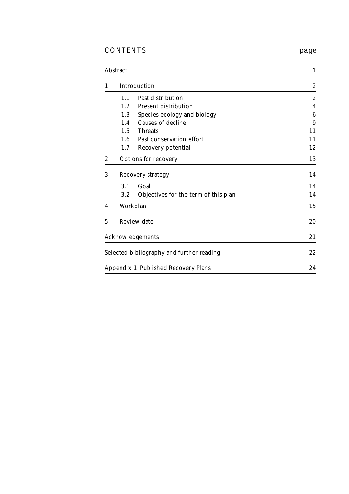### CONTENTS *page*

| <b>Abstract</b> |     | $\mathbf{1}$                                |                  |
|-----------------|-----|---------------------------------------------|------------------|
| 1.              |     | Introduction                                | $\boldsymbol{2}$ |
|                 | 1.1 | Past distribution                           | $\mathbf{2}$     |
|                 | 1.2 | <b>Present distribution</b>                 | 4                |
|                 | 1.3 | Species ecology and biology                 | $\boldsymbol{6}$ |
|                 | 1.4 | <b>Causes of decline</b>                    | 9                |
|                 | 1.5 | <b>Threats</b>                              | 11               |
|                 | 1.6 | Past conservation effort                    | 11               |
|                 | 1.7 | Recovery potential                          | 12               |
| 2.              |     | <b>Options for recovery</b>                 | 13               |
| 3.              |     | <b>Recovery strategy</b>                    | 14               |
|                 | 3.1 | Goal                                        | 14               |
|                 | 3.2 | Objectives for the term of this plan        | 14               |
| 4.              |     | Workplan                                    | 15               |
| 5.              |     | <b>Review date</b>                          | 20               |
|                 |     | <b>Acknowledgements</b>                     | 21               |
|                 |     | Selected bibliography and further reading   | 22               |
|                 |     | <b>Appendix 1: Published Recovery Plans</b> | 24               |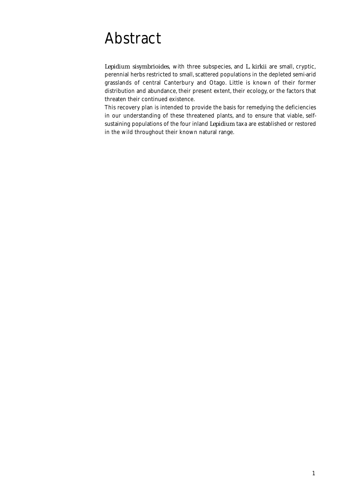### Abstract

*Lepidium sisymbrioides*, with three subspecies, and *L. kirkii* are small, cryptic, perennial herbs restricted to small, scattered populations in the depleted semi-arid grasslands of central Canterbury and Otago. Little is known of their former distribution and abundance, their present extent, their ecology, or the factors that threaten their continued existence.

This recovery plan is intended to provide the basis for remedying the deficiencies in our understanding of these threatened plants, and to ensure that viable, selfsustaining populations of the four inland *Lepidium* taxa are established or restored in the wild throughout their known natural range.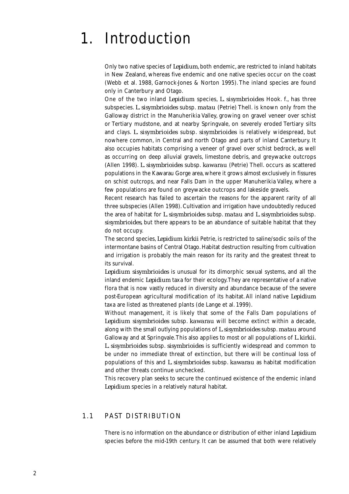### 1. Introduction

Only two native species of *Lepidium*, both endemic, are restricted to inland habitats in New Zealand, whereas five endemic and one native species occur on the coast (Webb et al. 1988, Garnock-Jones & Norton 1995). The inland species are found only in Canterbury and Otago.

One of the two inland *Lepidium* species, *L. sisymbrioides* Hook. f*.*, has three subspecies. *L. sisymbrioides* subsp. *matau* (Petrie) Thell. is known only from the Galloway district in the Manuherikia Valley, growing on gravel veneer over schist or Tertiary mudstone, and at nearby Springvale, on severely eroded Tertiary silts and clays. *L. sisymbrioides* subsp. *sisymbrioides* is relatively widespread, but nowhere common, in Central and north Otago and parts of inland Canterbury. It also occupies habitats comprising a veneer of gravel over schist bedrock, as well as occurring on deep alluvial gravels, limestone debris, and greywacke outcrops (Allen 1998). *L. sisymbrioides* subsp. *kawarau* (Petrie) Thell. occurs as scattered populations in the Kawarau Gorge area, where it grows almost exclusively in fissures on schist outcrops, and near Falls Dam in the upper Manuherikia Valley, where a few populations are found on greywacke outcrops and lakeside gravels.

Recent research has failed to ascertain the reasons for the apparent rarity of all three subspecies (Allen 1998). Cultivation and irrigation have undoubtedly reduced the area of habitat for *L. sisymbrioides* subsp. *matau* and *L. sisymbrioides* subsp. *sisymbrioides*, but there appears to be an abundance of suitable habitat that they do not occupy.

The second species, *Lepidium kirkii* Petrie, is restricted to saline/sodic soils of the intermontane basins of Central Otago. Habitat destruction resulting from cultivation and irrigation is probably the main reason for its rarity and the greatest threat to its survival.

*Lepidium sisymbrioides* is unusual for its dimorphic sexual systems, and all the inland endemic *Lepidium* taxa for their ecology. They are representative of a native flora that is now vastly reduced in diversity and abundance because of the severe post-European agricultural modification of its habitat. All inland native *Lepidium* taxa are listed as threatened plants (de Lange et al. 1999).

Without management, it is likely that some of the Falls Dam populations of *Lepidium sisymbrioides* subsp. *kawarau* will become extinct within a decade, along with the small outlying populations of *L. sisymbrioides* subsp. *matau* around Galloway and at Springvale. This also applies to most or all populations of *L. kirkii. L. sisymbrioides* subsp. *sisymbrioides* is sufficiently widespread and common to be under no immediate threat of extinction, but there will be continual loss of populations of this and *L. sisymbrioides* subsp. *kawarau* as habitat modification and other threats continue unchecked.

This recovery plan seeks to secure the continued existence of the endemic inland *Lepidium* species in a relatively natural habitat.

#### 1.1 PAST DISTRIBUTION

There is no information on the abundance or distribution of either inland *Lepidium* species before the mid-19th century. It can be assumed that both were relatively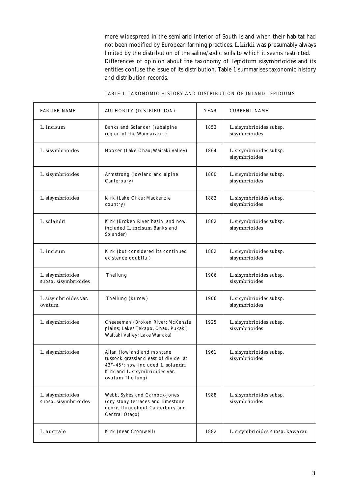more widespread in the semi-arid interior of South Island when their habitat had not been modified by European farming practices. *L. kirkii* was presumably always limited by the distribution of the saline/sodic soils to which it seems restricted. Differences of opinion about the taxonomy of *Lepidium sisymbrioides* and its entities confuse the issue of its distribution. Table 1 summarises taxonomic history and distribution records.

| <b>EARLIER NAME</b>                      | <b>AUTHORITY (DISTRIBUTION)</b>                                                                                                                               | <b>YEAR</b> | <b>CURRENT NAME</b>                      |
|------------------------------------------|---------------------------------------------------------------------------------------------------------------------------------------------------------------|-------------|------------------------------------------|
| L. incisum                               | Banks and Solander (subalpine<br>region of the Waimakariri)                                                                                                   | 1853        | L. sisymbrioides subsp.<br>sisymbrioides |
| L. sisymbrioides                         | Hooker (Lake Ohau; Waitaki Valley)                                                                                                                            | 1864        | L. sisymbrioides subsp.<br>sisymbrioides |
| L. sisymbrioides                         | Armstrong (lowland and alpine<br>Canterbury)                                                                                                                  | 1880        | L. sisymbrioides subsp.<br>sisymbrioides |
| L. sisymbrioides                         | Kirk (Lake Ohau; Mackenzie<br>country)                                                                                                                        | 1882        | L. sisymbrioides subsp.<br>sisymbrioides |
| L. solandri                              | Kirk (Broken River basin, and now<br>included L. incisum Banks and<br>Solander)                                                                               | 1882        | L. sisymbrioides subsp.<br>sisymbrioides |
| L. incisum                               | Kirk (but considered its continued<br>existence doubtful)                                                                                                     | 1882        | L. sisymbrioides subsp.<br>sisymbrioides |
| L. sisymbrioides<br>subsp. sisymbrioides | Thellung                                                                                                                                                      | 1906        | L. sisymbrioides subsp.<br>sisymbrioides |
| L. sisymbrioides var.<br>ovatum          | Thellung (Kurow)                                                                                                                                              | 1906        | L. sisymbrioides subsp.<br>sisymbrioides |
| L. sisymbrioides                         | Cheeseman (Broken River; McKenzie<br>plains; Lakes Tekapo, Ohau, Pukaki;<br>Waitaki Valley; Lake Wanaka)                                                      | 1925        | L. sisymbrioides subsp.<br>sisymbrioides |
| L. sisymbrioides                         | Allan (lowland and montane<br>tussock grassland east of divide lat<br>43°-45°; now included L. solandri<br>Kirk and L. sisymbrioides var.<br>ovatum Thellung) | 1961        | L. sisymbrioides subsp.<br>sisymbrioides |
| L. sisymbrioides<br>subsp. sisymbrioides | Webb, Sykes and Garnock-Jones<br>(dry stony terraces and limestone<br>debris throughout Canterbury and<br>Central Otago)                                      | 1988        | L. sisymbrioides subsp.<br>sisymbrioides |
| L. australe                              | Kirk (near Cromwell)                                                                                                                                          | 1882        | L. sisymbrioides subsp. kawarau          |

|  |  | TABLE 1: TAXONOMIC HISTORY AND DISTRIBUTION OF INLAND LEPIDIUMS |  |  |
|--|--|-----------------------------------------------------------------|--|--|
|  |  |                                                                 |  |  |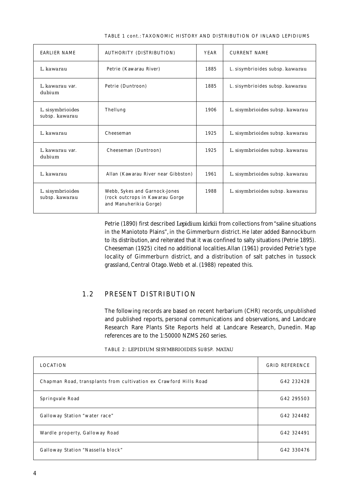| <b>EARLIER NAME</b>                | <b>AUTHORITY (DISTRIBUTION)</b>                                                            | <b>YEAR</b> | <b>CURRENT NAME</b>             |
|------------------------------------|--------------------------------------------------------------------------------------------|-------------|---------------------------------|
| L. kawarau                         | Petrie (Kawarau River)                                                                     | 1885        | L. sisymbrioides subsp. kawarau |
| L. kawarau yar.<br>dubium          | Petrie (Duntroon)                                                                          | 1885        | L. sisymbrioides subsp. kawarau |
| L. sisymbrioides<br>subsp. kawarau | Thellung                                                                                   | 1906        | L. sisymbrioides subsp. kawarau |
| L. kawarau                         | Cheeseman                                                                                  | 1925        | L. sisymbrioides subsp. kawarau |
| L. kawarau yar.<br>dubium          | Cheeseman (Duntroon)                                                                       | 1925        | L. sisymbrioides subsp. kawarau |
| L. kawarau                         | Allan (Kawarau River near Gibbston)                                                        | 1961        | L. sisymbrioides subsp. kawarau |
| L. sisymbrioides<br>subsp. kawarau | Webb, Sykes and Garnock-Jones<br>(rock outcrops in Kawarau Gorge<br>and Manuherikia Gorge) | 1988        | L. sisymbrioides subsp. kawarau |

TABLE 1 cont.: TAXONOMIC HISTORY AND DISTRIB UTION OF INLAND LEPIDIUMS

Petrie (1890) first described *Lepidium kirkii* from collections from "saline situations in the Maniototo Plains", in the Gimmerburn district. He later added Bannockburn to its distribution, and reiterated that it was confined to salty situations (Petrie 1895). Cheeseman (1925) cited no additional localities. Allan (1961) provided Petrie's type locality of Gimmerburn district, and a distribution of salt patches in tussock grassland, Central Otago. Webb et al. (1988) repeated this.

#### 1.2 PRESENT DISTRIBUTION

The following records are based on recent herbarium (CHR) records, unpublished and published reports, personal communications and observations, and Landcare Research Rare Plants Site Reports held at Landcare Research, Dunedin. Map references are to the 1:50000 NZMS 260 series.

| <b>LOCATION</b>                                                   | <b>GRID REFERENCE</b> |
|-------------------------------------------------------------------|-----------------------|
| Chapman Road, transplants from cultivation ex Crawford Hills Road | G42 232428            |
| Springvale Road                                                   | G42 295503            |
| Galloway Station "water race"                                     | G42 324482            |
| Wardle property, Galloway Road                                    | G42 324491            |
| Galloway Station "Nassella block"                                 | G42 330476            |

TABLE 2: *LEPIDIUM SISYMBRIOIDES* SUBSP. *MATAU*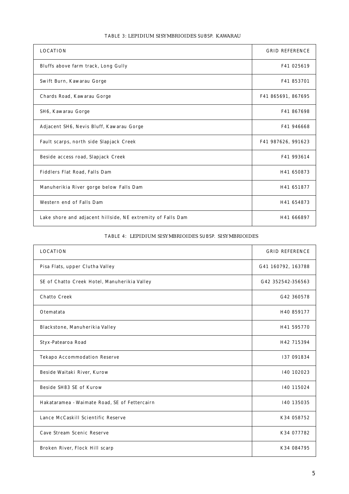| <b>LOCATION</b>                                             | <b>GRID REFERENCE</b> |
|-------------------------------------------------------------|-----------------------|
| Bluffs above farm track, Long Gully                         | F41 025619            |
| Swift Burn, Kawarau Gorge                                   | F41 853701            |
| Chards Road, Kawarau Gorge                                  | F41 865691, 867695    |
| SH6, Kawarau Gorge                                          | F41 867698            |
| Adjacent SH6, Nevis Bluff, Kawarau Gorge                    | F41 946668            |
| Fault scarps, north side Slapjack Creek                     | F41 987626, 991623    |
| Beside access road, Slapjack Creek                          | F41 993614            |
| Fiddlers Flat Road, Falls Dam                               | H41 650873            |
| Manuherikia River gorge below Falls Dam                     | H41 651877            |
| Western end of Falls Dam                                    | H41 654873            |
| Lake shore and adjacent hillside, NE extremity of Falls Dam | H41 666897            |

#### TABLE 3: *LEPIDIUM SISYMBRIOIDES* SUBSP. *KAWARAU*

#### TABLE 4: *LEPIDIUM SISYMBRIOIDES* SUBSP. *SISYMBRIOIDES*

| <b>LOCATION</b>                               | <b>GRID REFERENCE</b> |
|-----------------------------------------------|-----------------------|
| Pisa Flats, upper Clutha Valley               | G41 160792, 163788    |
| SE of Chatto Creek Hotel, Manuherikia Valley  | G42 352542-356563     |
| <b>Chatto Creek</b>                           | G42 360578            |
| Otematata                                     | H40 859177            |
| Blackstone, Manuherikia Valley                | H41 595770            |
| Styx-Patearoa Road                            | H42 715394            |
| <b>Tekapo Accommodation Reserve</b>           | 137 091834            |
| Beside Waitaki River, Kurow                   | I40 102023            |
| <b>Beside SH83 SE of Kurow</b>                | 140 115024            |
| Hakataramea - Waimate Road, SE of Fettercairn | 140 135035            |
| Lance McCaskill Scientific Reserve            | K34 058752            |
| Cave Stream Scenic Reserve                    | K34 077782            |
| Broken River, Flock Hill scarp                | K34 084795            |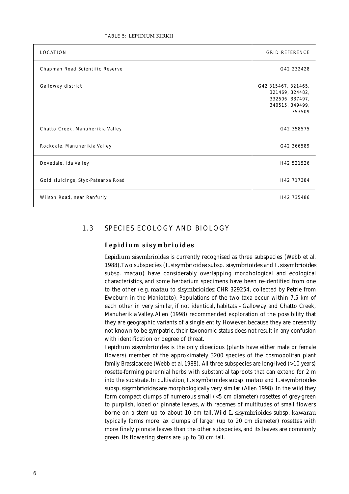| <b>LOCATION</b>                    | <b>GRID REFERENCE</b>                                                                  |
|------------------------------------|----------------------------------------------------------------------------------------|
| Chapman Road Scientific Reserve    | G42 232428                                                                             |
| Galloway district                  | G42 315467, 321465,<br>321469, 324482,<br>332506, 337497,<br>340515, 349499,<br>353509 |
| Chatto Creek, Manuherikia Valley   | G42 358575                                                                             |
| Rockdale, Manuherikia Valley       | G42 366589                                                                             |
| Dovedale, Ida Valley               | H42 521526                                                                             |
| Gold sluicings, Styx-Patearoa Road | H42 717384                                                                             |
| Wilson Road, near Ranfurly         | H42 735486                                                                             |

#### 1.3 SPECIES ECOLOGY AND BIOLOGY

#### *Lepidium sisymbrioides*

*Lepidium sisymbrioides* is currently recognised as three subspecies (Webb et al. 1988). Two subspecies (*L. sisymbrioides* subsp. *sisymbrioides* and *L. sisymbrioides* subsp. *matau*) have considerably overlapping morphological and ecological characteristics, and some herbarium specimens have been re-identified from one to the other (e.g. *matau* to *sisymbrioides*: CHR 329254, collected by Petrie from Eweburn in the Maniototo). Populations of the two taxa occur within 7.5 km of each other in very similar, if not identical, habitats - Galloway and Chatto Creek, Manuherikia Valley. Allen (1998) recommended exploration of the possibility that they are geographic variants of a single entity. However, because they are presently not known to be sympatric, their taxonomic status does not result in any confusion with identification or degree of threat.

*Lepidium sisymbrioides* is the only dioecious (plants have either male or female flowers) member of the approximately 3200 species of the cosmopolitan plant family Brassicaceae (Webb et al. 1988). All three subspecies are long-lived (>10 years) rosette-forming perennial herbs with substantial taproots that can extend for 2 m into the substrate. In cultivation, *L. sisymbrioides* subsp. *matau* and *L. sisymbrioides* subsp. *sisymbrioides* are morphologically very similar (Allen 1998). In the wild they form compact clumps of numerous small (<5 cm diameter) rosettes of grey-green to purplish, lobed or pinnate leaves, with racemes of multitudes of small flowers borne on a stem up to about 10 cm tall. Wild *L. sisymbrioides* subsp. *kawarau* typically forms more lax clumps of larger (up to 20 cm diameter) rosettes with more finely pinnate leaves than the other subspecies, and its leaves are commonly green. Its flowering stems are up to 30 cm tall.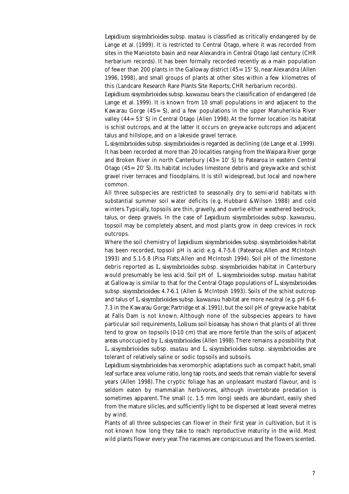*Lepidium sisymbrioides* subsp. *matau* is classified as critically endangered by de Lange et al. (1999). It is restricted to Central Otago, where it was recorded from sites in the Maniototo basin and near Alexandra in Central Otago last century (CHR herbarium records). It has been formally recorded recently as a main population of fewer than 200 plants in the Galloway district (45∞ 15' S), near Alexandra (Allen 1996, 1998), and small groups of plants at other sites within a few kilometres of this (Landcare Research Rare Plants Site Reports; CHR herbarium records).

*Lepidium sisymbrioides* subsp. *kawarau* bears the classification of endangered (de Lange et al. 1999). It is known from 10 small populations in and adjacent to the Kawarau Gorge  $(45<sub>∞</sub> S)$ , and a few populations in the upper Manuherikia River valley (44∞ 53' S) in Central Otago (Allen 1998). At the former location its habitat is schist outcrops, and at the latter it occurs on greywacke outcrops and adjacent talus and hillslope, and on a lakeside gravel terrace.

*L. sisymbrioides* subsp. *sisymbrioides* is regarded as declining (de Lange et al. 1999). It has been recorded at more than 20 localities ranging from the Waipara River gorge and Broken River in north Canterbury (43∞ 10' S) to Patearoa in eastern Central Otago (45∞ 20' S). Its habitat includes limestone debris and greywacke and schist gravel river terraces and floodplains. It is still widespread, but local and nowhere common.

All three subspecies are restricted to seasonally dry to semi-arid habitats with substantial summer soil water deficits (e.g. Hubbard &Wilson 1988) and cold winters. Typically, topsoils are thin, gravelly, and overlie either weathered bedrock, talus, or deep gravels. In the case of *Lepidium sisymbrioides* subsp. *kawarau*, topsoil may be completely absent, and most plants grow in deep crevices in rock outcrops.

Where the soil chemistry of *Lepidium sisymbrioides* subsp. *sisymbrioides* habitat has been recorded, topsoil pH is acid: e.g. 4.7-5.6 (Patearoa; Allen and McIntosh 1993) and 5.1-5.8 (Pisa Flats; Allen and McIntosh 1994). Soil pH of the limestone debris reported as *L. sisymbrioides* subsp. *sisymbrioides* habitat in Canterbury would presumably be less acid. Soil pH of *L. sisymbrioides* subsp. *matau* habitat at Galloway is similar to that for the Central Otago populations of *L. sisymbrioides* subsp. *sisymbrioides*: 4.7-6.1 (Allen & McIntosh 1993). Soils of the schist outcrop and talus of *L. sisymbrioides* subsp. *kawarau* habitat are more neutral (e.g. pH 6.6- 7.3 in the Kawarau Gorge; Partridge et al. 1991), but the soil pH of greywacke habitat at Falls Dam is not known. Although none of the subspecies appears to have particular soil requirements, *Lolium* soil bioassay has shown that plants of all three tend to grow on topsoils (0-10 cm) that are more fertile than the soils of adjacent areas unoccupied by *L. sisymbrioides* (Allen 1998). There remains a possibility that *L. sisymbrioides* subsp. *matau* and *L. sisymbrioides* subsp. *sisymbrioides* are tolerant of relatively saline or sodic topsoils and subsoils.

*Lepidium sisymbrioides* has xeromorphic adaptations such as compact habit, small leaf surface area: volume ratio, long tap roots, and seeds that remain viable for several years (Allen 1998). The cryptic foliage has an unpleasant mustard flavour, and is seldom eaten by mammalian herbivores, although invertebrate predation is sometimes apparent. The small (c. 1.5 mm long) seeds are abundant, easily shed from the mature silicles, and sufficiently light to be dispersed at least several metres by wind.

Plants of all three subspecies can flower in their first year in cultivation, but it is not known how long they take to reach reproductive maturity in the wild. Most wild plants flower every year. The racemes are conspicuous and the flowers scented.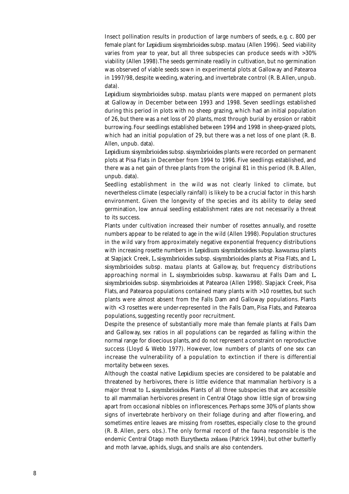Insect pollination results in production of large numbers of seeds, e.g. c. 800 per female plant for *Lepidium sisymbrioides* subsp. *matau* (Allen 1996). Seed viability varies from year to year, but all three subspecies can produce seeds with >30% viability (Allen 1998). The seeds germinate readily in cultivation, but no germination was observed of viable seeds sown in experimental plots at Galloway and Patearoa in 1997/98, despite weeding, watering, and invertebrate control (R. B. Allen, unpub. data).

*Lepidium sisymbrioides* subsp. *matau* plants were mapped on permanent plots at Galloway in December between 1993 and 1998. Seven seedlings established during this period in plots with no sheep grazing, which had an initial population of 26, but there was a net loss of 20 plants, most through burial by erosion or rabbit burrowing. Four seedlings established between 1994 and 1998 in sheep-grazed plots, which had an initial population of 29, but there was a net loss of one plant (R. B. Allen, unpub. data).

*Lepidium sisymbrioides* subsp. *sisymbrioides* plants were recorded on permanent plots at Pisa Flats in December from 1994 to 1996. Five seedlings established, and there was a net gain of three plants from the original 81 in this period (R. B. Allen, unpub. data).

Seedling establishment in the wild was not clearly linked to climate, but nevertheless climate (especially rainfall) is likely to be a crucial factor in this harsh environment. Given the longevity of the species and its ability to delay seed germination, low annual seedling establishment rates are not necessarily a threat to its success.

Plants under cultivation increased their number of rosettes annually, and rosette numbers appear to be related to age in the wild (Allen 1998). Population structures in the wild vary from approximately negative exponential frequency distributions with increasing rosette numbers in *Lepidium sisymbrioides* subsp. *kawarau* plants at Slapjack Creek, *L. sisymbrioides* subsp. *sisymbrioides* plants at Pisa Flats, and *L. sisymbrioides* subsp. *matau* plants at Galloway, but frequency distributions approaching normal in *L. sisymbrioides* subsp. *kawarau* at Falls Dam and *L. sisymbrioides* subsp. *sisymbrioides* at Patearoa (Allen 1998). Slapjack Creek, Pisa Flats, and Patearoa populations contained many plants with >10 rosettes, but such plants were almost absent from the Falls Dam and Galloway populations. Plants with <3 rosettes were under-represented in the Falls Dam, Pisa Flats, and Patearoa populations, suggesting recently poor recruitment.

Despite the presence of substantially more male than female plants at Falls Dam and Galloway, sex ratios in all populations can be regarded as falling within the normal range for dioecious plants, and do not represent a constraint on reproductive success (Lloyd & Webb 1977). However, low numbers of plants of one sex can increase the vulnerability of a population to extinction if there is differential mortality between sexes.

Although the coastal native *Lepidium* species are considered to be palatable and threatened by herbivores, there is little evidence that mammalian herbivory is a major threat to *L. sisymbrioides*. Plants of all three subspecies that are accessible to all mammalian herbivores present in Central Otago show little sign of browsing apart from occasional nibbles on inflorescences. Perhaps some 30% of plants show signs of invertebrate herbivory on their foliage during and after flowering, and sometimes entire leaves are missing from rosettes, especially close to the ground (R. B. Allen, pers. obs.). The only formal record of the fauna responsible is the endemic Central Otago moth *Eurythecta zelaea* (Patrick 1994), but other butterfly and moth larvae, aphids, slugs, and snails are also contenders.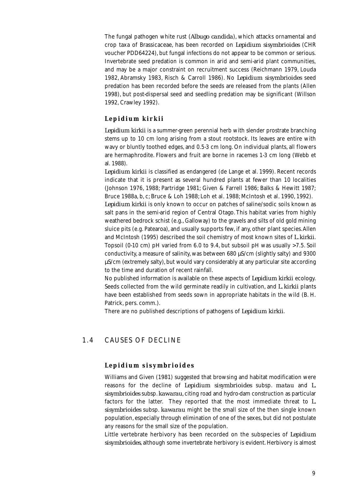The fungal pathogen white rust (*Albugo candida*), which attacks ornamental and crop taxa of Brassicaceae, has been recorded on *Lepidium sisymbrioides* (CHR voucher PDD64224), but fungal infections do not appear to be common or serious. Invertebrate seed predation is common in arid and semi-arid plant communities, and may be a major constraint on recruitment success (Reichmann 1979, Louda 1982, Abramsky 1983, Risch & Carroll 1986). No *Lepidium sisymbrioides* seed predation has been recorded before the seeds are released from the plants (Allen 1998), but post-dispersal seed and seedling predation may be significant (Willson 1992, Crawley 1992).

#### *Lepidium kirkii*

*Lepidium kirkii* is a summer-green perennial herb with slender prostrate branching stems up to 10 cm long arising from a stout rootstock. Its leaves are entire with wavy or bluntly toothed edges, and 0.5-3 cm long. On individual plants, all flowers are hermaphrodite. Flowers and fruit are borne in racemes 1-3 cm long (Webb et al. 1988).

*Lepidium kirkii* is classified as endangered (de Lange et al. 1999). Recent records indicate that it is present as several hundred plants at fewer than 10 localities (Johnson 1976, 1988; Partridge 1981; Given & Farrell 1986; Balks & Hewitt 1987; Bruce 1988a, b, c; Bruce & Loh 1988; Loh et al*.* 1988; McIntosh et al*.* 1990, 1992).

*Lepidium kirkii* is only known to occur on patches of saline/sodic soils known as salt pans in the semi-arid region of Central Otago. This habitat varies from highly weathered bedrock schist (e.g., Galloway) to the gravels and silts of old gold mining sluice pits (e.g. Patearoa), and usually supports few, if any, other plant species. Allen and McIntosh (1995) described the soil chemistry of most known sites of *L. kirkii*. Topsoil (0-10 cm) pH varied from 6.0 to 9.4, but subsoil pH was usually >7.5. Soil conductivity, a measure of salinity, was between  $680 \mu$ S/cm (slightly salty) and 9300 µS/cm (extremely salty), but would vary considerably at any particular site according to the time and duration of recent rainfall.

No published information is available on these aspects of *Lepidium kirkii* ecology. Seeds collected from the wild germinate readily in cultivation, and *L. kirkii* plants have been established from seeds sown in appropriate habitats in the wild (B. H. Patrick, pers. comm.).

There are no published descriptions of pathogens of *Lepidium kirkii*.

#### 1.4 CAUSES OF DECLINE

#### *Lepidium sisymbrioides*

Williams and Given (1981) suggested that browsing and habitat modification were reasons for the decline of *Lepidium sisymbrioides* subsp. *matau* and *L. sisymbrioides* subsp. *kawarau*, citing road and hydro-dam construction as particular factors for the latter. They reported that the most immediate threat to *L. sisymbrioides* subsp. *kawarau* might be the small size of the then single known population, especially through elimination of one of the sexes, but did not postulate any reasons for the small size of the population.

Little vertebrate herbivory has been recorded on the subspecies of *Lepidium sisymbrioides*, although some invertebrate herbivory is evident. Herbivory is almost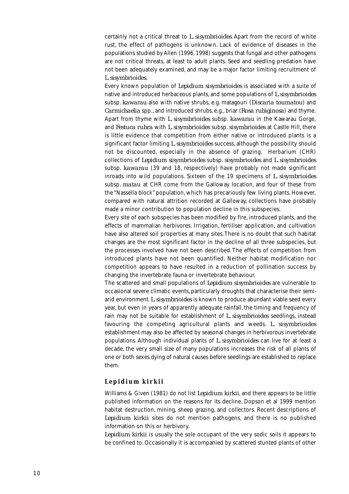certainly not a critical threat to *L. sisymbrioides*. Apart from the record of white rust, the effect of pathogens is unknown. Lack of evidence of diseases in the populations studied by Allen (1996, 1998) suggests that fungal and other pathogens are not critical threats, at least to adult plants. Seed and seedling predation have not been adequately examined, and may be a major factor limiting recruitment of *L. sisymbrioides.*

Every known population of *Lepidium sisymbrioides* is associated with a suite of native and introduced herbaceous plants, and some populations of *L. sisymbrioides* subsp. *kawarau* also with native shrubs, e.g. matagouri (*Discaria toumatou*) and *Carmichaelia* spp., and introduced shrubs, e.g., briar (*Rosa rubiginosa*) and thyme. Apart from thyme with *L. sisymbrioides* subsp. *kawarau* in the Kawarau Gorge, and *Festuca rubra* with *L. sisymbrioides* subsp. *sisymbrioides* at Castle Hill, there is little evidence that competition from either native or introduced plants is a significant factor limiting *L. sisymbrioides* success, although the possibility should not be discounted, especially in the absence of grazing. Herbarium (CHR) collections of *Lepidium sisymbrioides* subsp. *sisymbrioides* and *L. sisymbrioides* subsp. *kawarau* (39 and 18, respectively) have probably not made significant inroads into wild populations. Sixteen of the 19 specimens of *L. sisymbrioides* subsp. *matau* at CHR come from the Galloway location, and four of these from the "Nassella block" population, which has precariously few living plants. However, compared with natural attrition recorded at Galloway, collections have probably made a minor contribution to population decline in this subspecies.

Every site of each subspecies has been modified by fire, introduced plants, and the effects of mammalian herbivores. Irrigation, fertiliser application, and cultivation have also altered soil properties at many sites. There is no doubt that such habitat changes are the most significant factor in the decline of all three subspecies, but the processes involved have not been described. The effects of competition from introduced plants have not been quantified. Neither habitat modification nor competition appears to have resulted in a reduction of pollination success by changing the invertebrate fauna or invertebrate behaviour.

The scattered and small populations of *Lepidium sisymbrioides* are vulnerable to occasional severe climatic events, particularly droughts that characterise their semiarid environment. *L. sisymbrioides* is known to produce abundant viable seed every year, but even in years of apparently adequate rainfall, the timing and frequency of rain may not be suitable for establishment of *L. sisymbrioides* seedlings, instead favouring the competing agricultural plants and weeds. *L. sisymbrioides* establishment may also be affected by seasonal changes in herbivorous invertebrate populations. Although individual plants of *L. sisymbrioides* can live for at least a decade, the very small size of many populations increases the risk of all plants of one or both sexes dying of natural causes before seedlings are established to replace them.

#### *Lepidium kirkii*

Williams & Given (1981) do not list *Lepidium kirkii*, and there appears to be little published information on the reasons for its decline. Dopson et al 1999 mention habitat destruction, mining, sheep grazing, and collectors. Recent descriptions of *Lepidium kirkii* sites do not mention pathogens, and there is no published information on this or herbivory.

*Lepidium kirkii* is usually the sole occupant of the very sodic soils it appears to be confined to. Occasionally it is accompanied by scattered stunted plants of other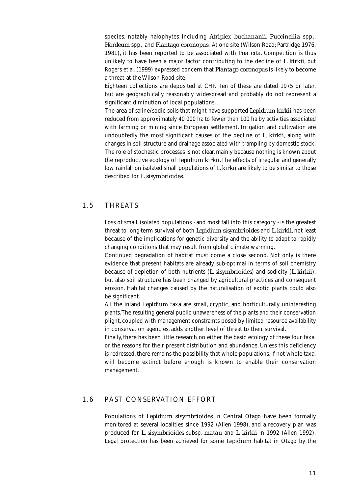species, notably halophytes including *Atriplex buchananii*, *Puccinellia* spp., *Hordeum* spp., and *Plantago coronopus*. At one site (Wilson Road; Partridge 1976, 1981), it has been reported to be associated with *Poa cita.* Competition is thus unlikely to have been a major factor contributing to the decline of *L. kirkii*, but Rogers et al. (1999) expressed concern that *Plantago coronopus* is likely to become a threat at the Wilson Road site.

Eighteen collections are deposited at CHR. Ten of these are dated 1975 or later, but are geographically reasonably widespread and probably do not represent a significant diminution of local populations.

The area of saline/sodic soils that might have supported *Lepidium kirkii* has been reduced from approximately 40 000 ha to fewer than 100 ha by activities associated with farming or mining since European settlement. Irrigation and cultivation are undoubtedly the most significant causes of the decline of *L. kirkii*, along with changes in soil structure and drainage associated with trampling by domestic stock. The role of stochastic processes is not clear, mainly because nothing is known about the reproductive ecology of *Lepidium kirkii*. The effects of irregular and generally low rainfall on isolated small populations of *L. kirkii* are likely to be similar to those described for *L. sisymbrioides*.

#### 1.5 THREATS

Loss of small, isolated populations - and most fall into this category - is the greatest threat to long-term survival of both *Lepidium sisymbrioides* and *L. kirkii*, not least because of the implications for genetic diversity and the ability to adapt to rapidly changing conditions that may result from global climate warming.

Continued degradation of habitat must come a close second. Not only is there evidence that present habitats are already sub-optimal in terms of soil chemistry because of depletion of both nutrients (*L. sisymbrioides*) and sodicity (*L. kirkii*), but also soil structure has been changed by agricultural practices and consequent erosion. Habitat changes caused by the naturalisation of exotic plants could also be significant.

All the inland *Lepidium* taxa are small, cryptic, and horticulturally uninteresting plants. The resulting general public unawareness of the plants and their conservation plight, coupled with management constraints posed by limited resource availability in conservation agencies, adds another level of threat to their survival.

Finally, there has been little research on either the basic ecology of these four taxa, or the reasons for their present distribution and abundance. Unless this deficiency is redressed, there remains the possibility that whole populations, if not whole taxa, will become extinct before enough is known to enable their conservation management.

#### 1.6 PAST CONSERVATION EFFORT

Populations of *Lepidium sisymbrioides* in Central Otago have been formally monitored at several localities since 1992 (Allen 1998), and a recovery plan was produced for *L. sisymbrioides* subsp. *matau* and *L. kirkii* in 1992 (Allen 1992). Legal protection has been achieved for some *Lepidium* habitat in Otago by the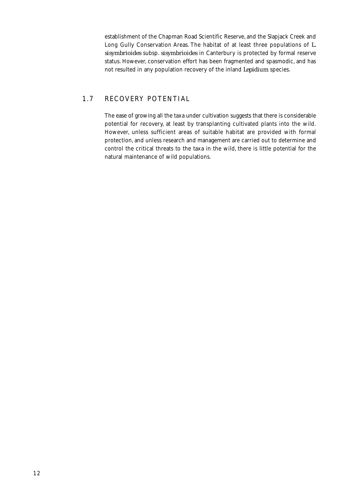establishment of the Chapman Road Scientific Reserve, and the Slapjack Creek and Long Gully Conservation Areas. The habitat of at least three populations of *L. sisymbrioides* subsp. *sisymbrioides* in Canterbury is protected by formal reserve status. However, conservation effort has been fragmented and spasmodic, and has not resulted in any population recovery of the inland *Lepidium* species.

#### 1.7 RECOVERY POTENTIAL

The ease of growing all the taxa under cultivation suggests that there is considerable potential for recovery, at least by transplanting cultivated plants into the wild. However, unless sufficient areas of suitable habitat are provided with formal protection, and unless research and management are carried out to determine and control the critical threats to the taxa in the wild, there is little potential for the natural maintenance of wild populations.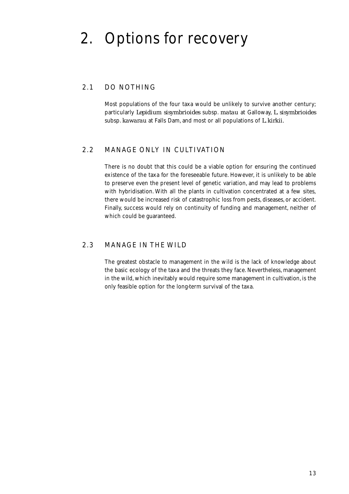### 2. Options for recovery

#### 2.1 DO NOTHING

Most populations of the four taxa would be unlikely to survive another century; particularly *Lepidium sisymbrioides* subsp. *matau* at Galloway, *L. sisymbrioides* subsp. *kawarau* at Falls Dam, and most or all populations of *L. kirkii.*

#### 2.2 MANAGE ONLY IN CULTIVATION

There is no doubt that this could be a viable option for ensuring the continued existence of the taxa for the foreseeable future. However, it is unlikely to be able to preserve even the present level of genetic variation, and may lead to problems with hybridisation. With all the plants in cultivation concentrated at a few sites, there would be increased risk of catastrophic loss from pests, diseases, or accident. Finally, success would rely on continuity of funding and management, neither of which could be guaranteed.

#### 2.3 MANAGE IN THE WILD

The greatest obstacle to management in the wild is the lack of knowledge about the basic ecology of the taxa and the threats they face. Nevertheless, management in the wild, which inevitably would require some management in cultivation, is the only feasible option for the long-term survival of the taxa.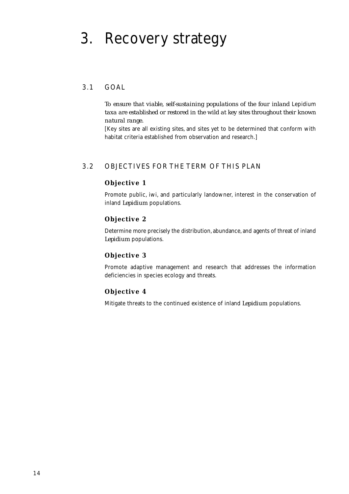### 3. Recovery strategy

#### 3.1 GOAL

*To ensure that viable, self-sustaining populations of the four inland* Lepidium *taxa are established or restored in the wild at key sites throughout their known natural range.*

[Key sites are all existing sites, and sites yet to be determined that conform with habitat criteria established from observation and research.]

#### 3.2 OBJECTIVES FOR THE TERM OF THIS PLAN

#### **Objective 1**

Promote public, iwi, and particularly landowner, interest in the conservation of inland *Lepidium* populations.

#### **Objective 2**

Determine more precisely the distribution, abundance, and agents of threat of inland *Lepidium* populations.

#### **Objective 3**

Promote adaptive management and research that addresses the information deficiencies in species ecology and threats.

#### **Objective 4**

Mitigate threats to the continued existence of inland *Lepidium* populations.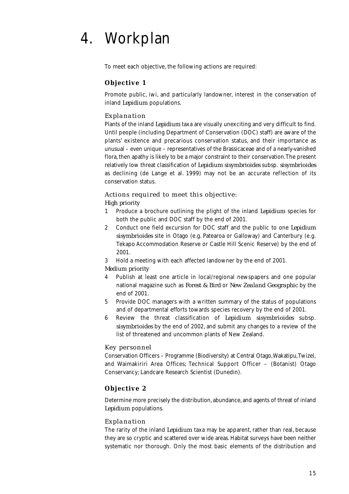## 4. Workplan

To meet each objective, the following actions are required:

#### **Objective 1**

Promote public, iwi, and particularly landowner, interest in the conservation of inland *Lepidium* populations.

#### *Explanation*

Plants of the inland *Lepidium* taxa are visually unexciting and very difficult to find. Until people (including Department of Conservation (DOC) staff) are aware of the plants' existence and precarious conservation status, and their importance as unusual – even unique – representatives of the Brassicaceae and of a nearly-vanished flora, then apathy is likely to be a major constraint to their conservation. The present relatively low threat classification of *Lepidium sisymbrioides* subsp. *sisymbrioides* as declining (de Lange et al. 1999) may not be an accurate reflection of its conservation status.

#### *Actions required to meet this objective: High priority*

- 1 Produce a brochure outlining the plight of the inland *Lepidium* species for both the public and DOC staff by the end of 2001.
- 2 Conduct one field excursion for DOC staff and the public to one *Lepidium sisymbrioides* site in Otago (e.g. Patearoa or Galloway) and Canterbury (e.g. Tekapo Accommodation Reserve or Castle Hill Scenic Reserve) by the end of 2001.
- 3 Hold a meeting with each affected landowner by the end of 2001.

#### *Medium priority*

- 4 Publish at least one article in local/regional newspapers and one popular national magazine such as *Forest & Bird* or *New Zealand Geographic* by the end of 2001.
- 5 Provide DOC managers with a written summary of the status of populations and of departmental efforts towards species recovery by the end of 2001.
- 6 Review the threat classification of *Lepidium sisymbrioides* subsp. *sisymbrioides* by the end of 2002, and submit any changes to a review of the list of threatened and uncommon plants of New Zealand.

#### *Key personnel*

Conservation Officers – Programme (Biodiversity) at Central Otago, Wakatipu, Twizel, and Waimakiriri Area Offices; Technical Support Officer – (Botanist) Otago Conservancy; Landcare Research Scientist (Dunedin).

#### **Objective 2**

Determine more precisely the distribution, abundance, and agents of threat of inland *Lepidium* populations.

#### *Explanation*

The rarity of the inland *Lepidium* taxa may be apparent, rather than real, because they are so cryptic and scattered over wide areas. Habitat surveys have been neither systematic nor thorough. Only the most basic elements of the distribution and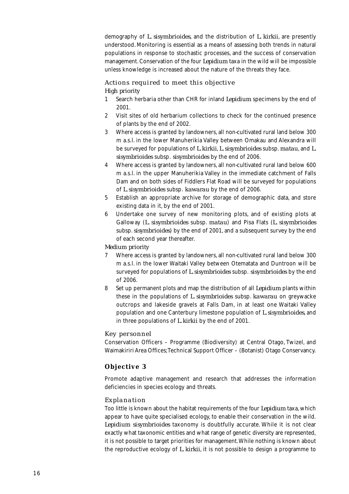demography of *L. sisymbrioides*, and the distribution of *L. kirkii*, are presently understood*.* Monitoring is essential as a means of assessing both trends in natural populations in response to stochastic processes, and the success of conservation management. Conservation of the four *Lepidium* taxa in the wild will be impossible unless knowledge is increased about the nature of the threats they face.

#### *Actions required to meet this objective High priority*

- 1 Search herbaria other than CHR for inland *Lepidium* specimens by the end of 2001.
- 2 Visit sites of old herbarium collections to check for the continued presence of plants by the end of 2002.
- 3 Where access is granted by landowners, all non-cultivated rural land below 300 m a.s.l. in the lower Manuherikia Valley between Omakau and Alexandra will be surveyed for populations of *L. kirkii*, *L. sisymbrioides* subsp. *matau*, and *L. sisymbrioides* subsp. *sisymbrioides* by the end of 2006.
- 4 Where access is granted by landowners, all non-cultivated rural land below 600 m a.s.l. in the upper Manuherikia Valley in the immediate catchment of Falls Dam and on both sides of Fiddlers Flat Road will be surveyed for populations of *L. sisymbrioides* subsp. *kawarau* by the end of 2006.
- 5 Establish an appropriate archive for storage of demographic data, and store existing data in it, by the end of 2001.
- 6 Undertake one survey of new monitoring plots, and of existing plots at Galloway (*L. sisymbrioides* subsp. *matau*) and Pisa Flats (*L. sisymbrioides* subsp. *sisymbrioides*) by the end of 2001, and a subsequent survey by the end of each second year thereafter.

*Medium priority*

- 7 Where access is granted by landowners, all non-cultivated rural land below 300 m a.s.l. in the lower Waitaki Valley between Otematata and Duntroon will be surveyed for populations of *L. sisymbrioides* subsp. *sisymbrioides* by the end of 2006.
- 8 Set up permanent plots and map the distribution of all *Lepidium* plants within these in the populations of *L. sisymbrioides* subsp. *kawarau* on greywacke outcrops and lakeside gravels at Falls Dam, in at least one Waitaki Valley population and one Canterbury limestone population of *L. sisymbrioides*, and in three populations of *L. kirkii* by the end of 2001.

#### *Key personnel*

Conservation Officers – Programme (Biodiversity) at Central Otago, Twizel, and Waimakiriri Area Offices; Technical Support Officer – (Botanist) Otago Conservancy.

#### **Objective 3**

Promote adaptive management and research that addresses the information deficiencies in species ecology and threats.

#### *Explanation*

Too little is known about the habitat requirements of the four *Lepidium* taxa, which appear to have quite specialised ecology, to enable their conservation in the wild. *Lepidium sisymbrioides* taxonomy is doubtfully accurate. While it is not clear exactly what taxonomic entities and what range of genetic diversity are represented, it is not possible to target priorities for management. While nothing is known about the reproductive ecology of *L. kirkii*, it is not possible to design a programme to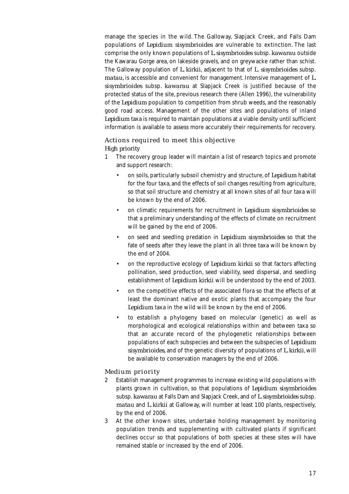manage the species in the wild. The Galloway, Slapjack Creek, and Falls Dam populations of *Lepidium sisymbrioides* are vulnerable to extinction. The last comprise the only known populations of *L. sisymbrioides* subsp. *kawarau* outside the Kawarau Gorge area, on lakeside gravels, and on greywacke rather than schist. The Galloway population of *L. kirkii*, adjacent to that of *L. sisymbrioides* subsp. *matau*, is accessible and convenient for management. Intensive management of *L. sisymbrioides* subsp. *kawarau* at Slapjack Creek is justified because of the protected status of the site, previous research there (Allen 1996), the vulnerability of the *Lepidium* population to competition from shrub weeds, and the reasonably good road access. Management of the other sites and populations of inland *Lepidium* taxa is required to maintain populations at a viable density until sufficient information is available to assess more accurately their requirements for recovery.

#### *Actions required to meet this objective High priority*

- 1 The recovery group leader will maintain a list of research topics and promote and support research:
	- on soils, particularly subsoil chemistry and structure, of *Lepidium* habitat for the four taxa, and the effects of soil changes resulting from agriculture, so that soil structure and chemistry at all known sites of all four taxa will be known by the end of 2006.
	- on climatic requirements for recruitment in *Lepidium sisymbrioides* so that a preliminary understanding of the effects of climate on recruitment will be gained by the end of 2006.
	- on seed and seedling predation in *Lepidium sisymbrioides* so that the fate of seeds after they leave the plant in all three taxa will be known by the end of 2004.
	- on the reproductive ecology of *Lepidium kirkii* so that factors affecting pollination, seed production, seed viability, seed dispersal, and seedling establishment of *Lepidium kirkii* will be understood by the end of 2003.
	- on the competitive effects of the associated flora so that the effects of at least the dominant native and exotic plants that accompany the four *Lepidium* taxa in the wild will be known by the end of 2006.
	- to establish a phylogeny based on molecular (genetic) as well as morphological and ecological relationships within and between taxa so that an accurate record of the phylogenetic relationships between populations of each subspecies and between the subspecies of *Lepidium sisymbrioides*, and of the genetic diversity of populations of *L. kirkii*, will be available to conservation managers by the end of 2006.

#### *Medium priority*

- 2 Establish management programmes to increase existing wild populations with plants grown in cultivation, so that populations of *Lepidium sisymbrioides* subsp. *kawarau* at Falls Dam and Slapjack Creek, and of *L. sisymbrioides* subsp. *matau* and *L. kirkii* at Galloway, will number at least 100 plants, respectively, by the end of 2006.
- 3 At the other known sites, undertake holding management by monitoring population trends and supplementing with cultivated plants if significant declines occur so that populations of both species at these sites will have remained stable or increased by the end of 2006.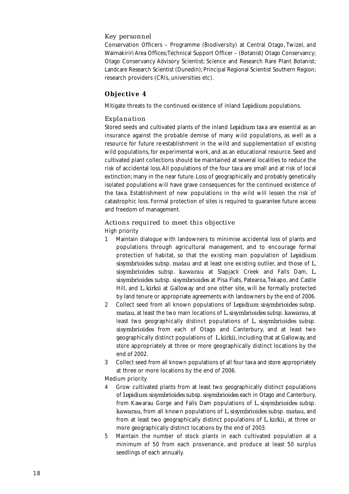#### *Key personnel*

Conservation Officers – Programme (Biodiversity) at Central Otago, Twizel, and Waimakiriri Area Offices; Technical Support Officer – (Botanist) Otago Conservancy; Otago Conservancy Advisory Scientist; Science and Research Rare Plant Botanist; Landcare Research Scientist (Dunedin); Principal Regional Scientist Southern Region; research providers (CRIs, universities etc).

#### **Objective 4**

Mitigate threats to the continued existence of inland *Lepidium* populations.

#### *Explanation*

Stored seeds and cultivated plants of the inland *Lepidium* taxa are essential as an insurance against the probable demise of many wild populations, as well as a resource for future re-establishment in the wild and supplementation of existing wild populations, for experimental work, and as an educational resource. Seed and cultivated plant collections should be maintained at several localities to reduce the risk of accidental loss. All populations of the four taxa are small and at risk of local extinction; many in the near future. Loss of geographically and probably genetically isolated populations will have grave consequences for the continued existence of the taxa. Establishment of new populations in the wild will lessen the risk of catastrophic loss. Formal protection of sites is required to guarantee future access and freedom of management.

#### *Actions required to meet this objective* High priority

- 1 Maintain dialogue with landowners to minimise accidental loss of plants and populations through agricultural management, and to encourage formal protection of habitat, so that the existing main population of *Lepidium sisymbrioides* subsp. *matau* and at least one existing outlier, and those of *L. sisymbrioides* subsp. *kawarau* at Slapjack Creek and Falls Dam, *L. sisymbrioides* subsp. *sisymbrioides* at Pisa Flats, Patearoa, Tekapo, and Castle Hill, and *L. kirkii* at Galloway and one other site, will be formally protected by land tenure or appropriate agreements with landowners by the end of 2006.
- 2 Collect seed from all known populations of *Lepidium sisymbrioides* subsp. *matau*, at least the two main locations of *L. sisymbrioides* subsp. *kawarau*, at least two geographically distinct populations of *L. sisymbrioides* subsp. *sisymbrioides* from each of Otago and Canterbury, and at least two geographically distinct populations of *L. kirkii*, including that at Galloway, and store appropriately at three or more geographically distinct locations by the end of 2002.
- 3 Collect seed from all known populations of all four taxa and store appropriately at three or more locations by the end of 2006.
- Medium priority
- 4 Grow cultivated plants from at least two geographically distinct populations of *Lepidium sisymbrioides* subsp. *sisymbrioides* each in Otago and Canterbury, from Kawarau Gorge and Falls Dam populations of *L. sisymbrioides* subsp. *kawarau*, from all known populations of *L. sisymbrioides* subsp. *matau*, and from at least two geographically distinct populations of *L. kirkii,* at three or more geographically distinct locations by the end of 2003.
- 5 Maintain the number of stock plants in each cultivated population at a minimum of 50 from each provenance, and produce at least 50 surplus seedlings of each annually.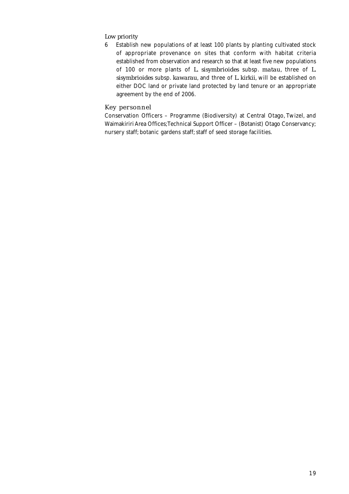#### *Low priority*

6 Establish new populations of at least 100 plants by planting cultivated stock of appropriate provenance on sites that conform with habitat criteria established from observation and research so that at least five new populations of 100 or more plants of *L. sisymbrioides* subsp. *matau*, three of *L. sisymbrioides* subsp. *kawarau*, and three of *L. kirkii*, will be established on either DOC land or private land protected by land tenure or an appropriate agreement by the end of 2006.

#### *Key personnel*

Conservation Officers – Programme (Biodiversity) at Central Otago, Twizel, and Waimakiriri Area Offices; Technical Support Officer – (Botanist) Otago Conservancy; nursery staff; botanic gardens staff; staff of seed storage facilities.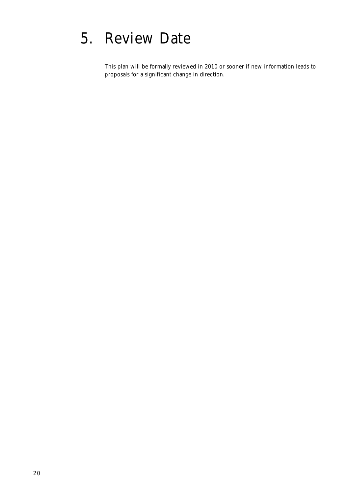### 5. Review Date

This plan will be formally reviewed in 2010 or sooner if new information leads to proposals for a significant change in direction.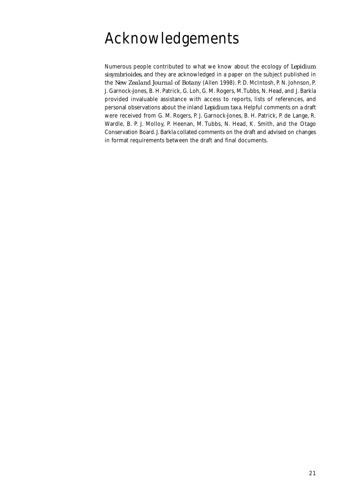### Acknowledgements

Numerous people contributed to what we know about the ecology of *Lepidium sisymbrioides*, and they are acknowledged in a paper on the subject published in the *New Zealand Journal of Botany* (Allen 1998). P. D. McIntosh, P. N. Johnson, P. J. Garnock-Jones, B. H. Patrick, G. Loh, G. M. Rogers, M. Tubbs, N. Head, and J. Barkla provided invaluable assistance with access to reports, lists of references, and personal observations about the inland *Lepidium* taxa. Helpful comments on a draft were received from G. M. Rogers, P. J. Garnock-Jones, B. H. Patrick, P. de Lange, R. Wardle, B. P. J. Molloy, P. Heenan, M. Tubbs, N. Head, K. Smith, and the Otago Conservation Board. J. Barkla collated comments on the draft and advised on changes in format requirements between the draft and final documents.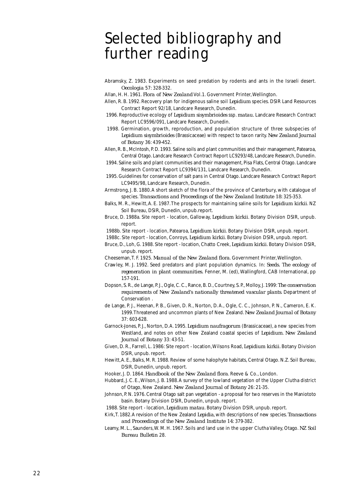### Selected bibliography and further reading

- Abramsky, Z. 1983. Experiments on seed predation by rodents and ants in the Israeli desert. *Oecologia* 57: 328-332.
- Allan, H. H. 1961. *Flora of New Zealand* Vol.1. Government Printer, Wellington.
- Allen, R. B. 1992. Recovery plan for indigenous saline soil *Lepidium* species. DSIR Land Resources Contract Report 92/18, Landcare Research, Dunedin.
- 1996. Reproductive ecology of *Lepidium sisymbrioides* ssp. *matau.* Landcare Research Contract Report LC9596/091, Landcare Research, Dunedin.
- 1998. Germination, growth, reproduction, and population structure of three subspecies of *Lepidium sisymbrioides* (Brassicaceae) with respect to taxon rarity. *New Zealand Journal of Botany* 36: 439-452.
- Allen, R. B., McIntosh, P. D. 1993. Saline soils and plant communities and their management, Patearoa, Central Otago. Landcare Research Contract Report LC9293/48, Landcare Research, Dunedin.
- 1994. Saline soils and plant communities and their management, Pisa Flats, Central Otago. Landcare Research Contract Report LC9394/131, Landcare Research, Dunedin.
- 1995. Guidelines for conservation of salt pans in Central Otago. Landcare Research Contract Report LC9495/98, Landcare Research, Dunedin.
- Armstrong, J. B. 1880. A short sketch of the flora of the province of Canterbury, with catalogue of species. *Transactions and Proceedings of the New Zealand Institute 18*: 325-353.
- Balks, M. R., Hewitt, A. E. 1987. The prospects for maintaining saline soils for *Lepidium kirkii*. NZ Soil Bureau, DSIR, Dunedin, unpub.report.
- Bruce, D. 1988a. Site report location, Galloway, *Lepidium kirkii*. Botany Division DSIR, unpub. report.
- 1988b. Site report location, Patearoa, *Lepidium kirkii*. Botany Division DSIR, unpub. report.
- 1988c. Site report location, Conroys, *Lepidium kirkii*. Botany Division DSIR, unpub. report.
- Bruce, D., Loh, G. 1988. Site report location, Chatto Creek, *Lepidium kirkii*. Botany Division DSIR, unpub. report.
- Cheeseman, T. F. 1925. *Manual of the New Zealand flora*. Government Printer, Wellington.
- Crawley, M. J. 1992. Seed predators and plant population dynamics. In: *Seeds. The ecology of regeneration in plant communities.* Fenner, M. (ed), Wallingford, CAB International, pp 157-191.
- Dopson, S. R., de Lange, P. J., Ogle, C. C., Rance, B. D., Courtney, S. P., Molloy, J. 1999: *The conservation requirements of New Zealand's nationally threatened vascular plants*. Department of Conservation .
- de Lange, P. J., Heenan, P. B., Given, D. R., Norton, D. A., Ogle, C. C., Johnson, P. N., Cameron, E. K. 1999. Threatened and uncommon plants of New Zealand. *New Zealand Journal of Botany* 37: 603-628.
- Garnock-Jones, P. J., Norton, D. A. 1995. *Lepidium naufragorum* (Brassicaceae), a new species from Westland, and notes on other New Zealand coastal species of *Lepidium*. *New Zealand Journal of Botany* 33: 43-51.
- Given, D. R., Farrell, L. 1986: Site report location, Wilsons Road, *Lepidium kirkii*. Botany Division DSIR, unpub. report.
- Hewitt, A. E., Balks, M. R. 1988. Review of some halophyte habitats, Central Otago. N.Z. Soil Bureau, DSIR, Dunedin, unpub. report.
- Hooker, J. D. 1864. *Handbook of the New Zealand flora*. Reeve & Co., London.
- Hubbard, J. C. E., Wilson, J. B. 1988. A survey of the lowland vegetation of the Upper Clutha district of Otago, New Zealand. *New Zealand Journal of Botany* 26: 21-35.
- Johnson, P. N. 1976. Central Otago salt pan vegetation a proposal for two reserves in the Maniototo basin. Botany Division DSIR, Dunedin, unpub. report.
- 1988. Site report location, *Lepidium matau*. Botany Division DSIR, unpub. report.
- Kirk, T. 1882. A revision of the New Zealand *Lepidia*, with descriptions of new species. *Transactions and Proceedings of the New Zealand Institute 14*: 379-382.
- Leamy, M. L., Saunders, W. M. H. 1967. Soils and land use in the upper Clutha Valley, Otago. *NZ Soil Bureau Bulletin* 28.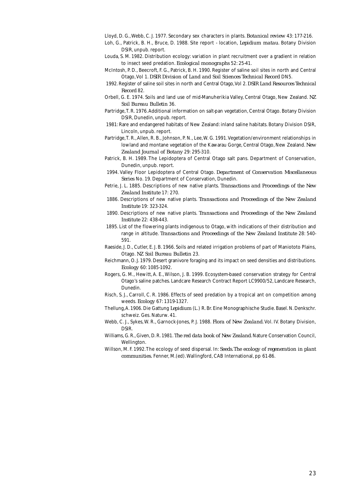Lloyd, D. G., Webb, C. J. 1977. Secondary sex characters in plants. *Botanical review* 43: 177-216.

- Loh, G., Patrick, B. H., Bruce, D. 1988. Site report location, *Lepidium matau*. Botany Division DSIR, unpub. report.
- Louda, S. M. 1982. Distribution ecology: variation in plant recruitment over a gradient in relation to insect seed predation. *Ecological monographs* 52: 25-41.
- McIntosh, P. D., Beecroft, F. G., Patrick, B. H. 1990. Register of saline soil sites in north and Central Otago, Vol 1. *DSIR Division of Land and Soil Sciences Technical Record* DN5.
- 1992. Register of saline soil sites in north and Central Otago, Vol 2. *DSIR Land Resources Technical Record* 82.
- Orbell, G. E. 1974. Soils and land use of mid-Manuherikia Valley, Central Otago, New Zealand. *NZ Soil Bureau Bulletin* 36.
- Partridge, T. R. 1976. Additional information on salt-pan vegetation, Central Otago. Botany Division DSIR, Dunedin, unpub. report.
- 1981: Rare and endangered habitats of New Zealand: inland saline habitats. Botany Division DSIR, Lincoln, unpub. report.
- Partridge, T. R., Allen, R. B., Johnson, P. N., Lee, W. G. 1991. Vegetation/environment relationships in lowland and montane vegetation of the Kawarau Gorge, Central Otago, New Zealand. *New Zealand Journal of Botany* 29: 295-310.
- Patrick, B. H. 1989. The Lepidoptera of Central Otago salt pans. Department of Conservation, Dunedin, unpub. report.
- 1994. Valley Floor Lepidoptera of Central Otago. *Department of Conservation Miscellaneous Series* No. 19. Department of Conservation, Dunedin.
- Petrie, J. L. 1885. Descriptions of new native plants. *Transactions and Proceedings of the New Zealand Institute* 17: 270.
- 1886. Descriptions of new native plants. *Transactions and Proceedings of the New Zealand Institute* 19: 323-324.
- 1890. Descriptions of new native plants. *Transactions and Proceedings of the New Zealand Institute* 22: 438-443.
- 1895. List of the flowering plants indigenous to Otago, with indications of their distribution and range in altitude. *Transactions and Proceedings of the New Zealand Institute* 28: 540- 591.
- Raeside, J. D., Cutler, E. J. B. 1966. Soils and related irrigation problems of part of Maniototo Plains, Otago. *NZ Soil Bureau Bulletin* 23.
- Reichmann, O. J. 1979. Desert granivore foraging and its impact on seed densities and distributions. *Ecology* 60: 1085-1092.
- Rogers, G. M., Hewitt, A. E., Wilson, J. B. 1999. Ecosystem-based conservation strategy for Central Otago's saline patches. Landcare Research Contract Report LC9900/52, Landcare Research, Dunedin.
- Risch, S. J., Carroll, C. R. 1986. Effects of seed predation by a tropical ant on competition among weeds. *Ecology* 67: 1319-1327.
- Thellung, A. 1906. Die Gattung *Lepidium* (L.) R. Br. Eine Monographische Studie. Basel. N. Denkschr. schweiz. Ges. Naturw. 41.
- Webb, C. J., Sykes, W. R., Garnock-Jones, P. J. 1988. *Flora of New Zealand*. Vol. IV. Botany Division, DSIR.
- Williams, G. R., Given, D. R. 1981. *The red data book of New Zealand*. Nature Conservation Council, Wellington.
- Willson, M. F. 1992. The ecology of seed dispersal. In: *Seeds. The ecology of regeneration in plant communities.* Fenner, M.(ed). Wallingford, CAB International, pp 61-86.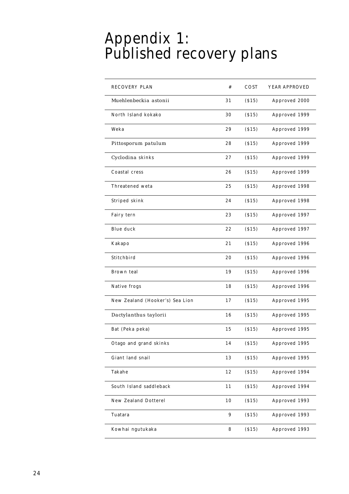### Appendix 1: Published recovery plans

| <b>RECOVERY PLAN</b>            | #  | COST    | YEAR APPROVED |
|---------------------------------|----|---------|---------------|
| Muehlenbeckia astonii           | 31 | ( \$15) | Approved 2000 |
| North Island kokako             | 30 | (S15)   | Approved 1999 |
| Weka                            | 29 | (S15)   | Approved 1999 |
| Pittosporum patulum             | 28 | ( \$15) | Approved 1999 |
| Cyclodina skinks                | 27 | ( \$15) | Approved 1999 |
| Coastal cress                   | 26 | (S15)   | Approved 1999 |
| Threatened weta                 | 25 | (S15)   | Approved 1998 |
| Striped skink                   | 24 | (S15)   | Approved 1998 |
| Fairy tern                      | 23 | (S15)   | Approved 1997 |
| <b>Blue duck</b>                | 22 | (S15)   | Approved 1997 |
| Kakapo                          | 21 | (S15)   | Approved 1996 |
| Stitchbird                      | 20 | (S15)   | Approved 1996 |
| Brown teal                      | 19 | (S15)   | Approved 1996 |
| Native frogs                    | 18 | (S15)   | Approved 1996 |
| New Zealand (Hooker's) Sea Lion | 17 | (S15)   | Approved 1995 |
| Dactylanthus taylorii           | 16 | (S15)   | Approved 1995 |
| Bat (Peka peka)                 | 15 | (S15)   | Approved 1995 |
| Otago and grand skinks          | 14 | (S15)   | Approved 1995 |
| Giant land snail                | 13 | (S15)   | Approved 1995 |
| Takahe                          | 12 | (S15)   | Approved 1994 |
| South Island saddleback         | 11 | (S15)   | Approved 1994 |
| <b>New Zealand Dotterel</b>     | 10 | (S15)   | Approved 1993 |
| Tuatara                         | 9  | (S15)   | Approved 1993 |
| Kowhai ngutukaka                | 8  | (S15)   | Approved 1993 |